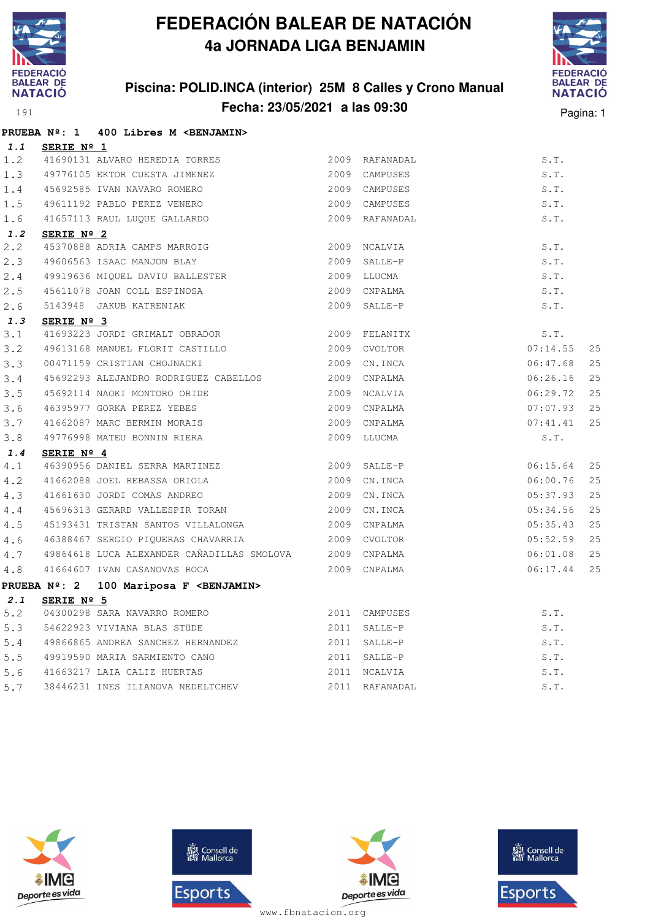

**PRUEBA Nº: 1 400 Libres M <BENJAMIN>**

## **FEDERACIÓN BALEAR DE NATACIÓN 4a JORNADA LIGA BENJAMIN**

### **Piscina: POLID.INCA (interior) 25M 8 Calles y Crono Manual Fecha: 23/05/2021 a las 09:30** Pagina: 1



| 1.1 | SERIE Nº 1          |                                                         |                |                |          |    |
|-----|---------------------|---------------------------------------------------------|----------------|----------------|----------|----|
| 1.2 |                     | 41690131 ALVARO HEREDIA TORRES                          |                | 2009 RAFANADAL | S.T.     |    |
| 1.3 |                     | 49776105 EKTOR CUESTA JIMENEZ                           |                | 2009 CAMPUSES  | S.T.     |    |
| 1.4 |                     | 45692585 IVAN NAVARO ROMERO                             |                | 2009 CAMPUSES  | S.T.     |    |
| 1.5 |                     | 49611192 PABLO PEREZ VENERO                             |                | 2009 CAMPUSES  | S.T.     |    |
| 1.6 |                     | 41657113 RAUL LUQUE GALLARDO                            |                | 2009 RAFANADAL | S.T.     |    |
| 1.2 | SERIE Nº 2          |                                                         |                |                |          |    |
| 2.2 |                     | 45370888 ADRIA CAMPS MARROIG                            |                | 2009 NCALVIA   | S.T.     |    |
| 2.3 |                     | 49606563 ISAAC MANJON BLAY                              | $2009$ SALLE-P |                | S.T.     |    |
| 2.4 |                     |                                                         |                |                | S.T.     |    |
| 2.5 |                     | 45611078 JOAN COLL ESPINOSA 2009 CNPALMA                |                |                | S.T.     |    |
| 2.6 |                     | 5143948 JAKUB KATRENIAK                                 |                | 2009 SALLE-P   | S.T.     |    |
| 1.3 | SERIE Nº 3          |                                                         |                |                |          |    |
| 3.1 |                     | 41693223 JORDI GRIMALT OBRADOR 2009 FELANITX            |                |                | S.T.     |    |
| 3.2 |                     | 49613168 MANUEL FLORIT CASTILLO                         |                | 2009 CVOLTOR   | 07:14.55 | 25 |
| 3.3 |                     | 00471159 CRISTIAN CHOJNACKI                             |                | 2009 CN.INCA   | 06:47.68 | 25 |
| 3.4 |                     | 45692293 ALEJANDRO RODRIGUEZ CABELLOS                   |                | 2009 CNPALMA   | 06:26.16 | 25 |
| 3.5 |                     | 45692114 NAOKI MONTORO ORIDE                            |                | 2009 NCALVIA   | 06:29.72 | 25 |
| 3.6 |                     | 46395977 GORKA PEREZ YEBES                              |                | 2009 CNPALMA   | 07:07.93 | 25 |
| 3.7 |                     | 41662087 MARC BERMIN MORAIS                             |                | 2009 CNPALMA   | 07:41.41 | 25 |
| 3.8 |                     | 49776998 MATEU BONNIN RIERA                             |                | 2009 LLUCMA    | S.T.     |    |
| 1.4 | SERIE Nº 4          |                                                         |                |                |          |    |
| 4.1 |                     | 46390956 DANIEL SERRA MARTINEZ                          |                | 2009 SALLE-P   | 06:15.64 | 25 |
| 4.2 |                     | 41662088 JOEL REBASSA ORIOLA                            |                | 2009 CN.INCA   | 06:00.76 | 25 |
| 4.3 |                     | 41661630 JORDI COMAS ANDREO                             |                | 2009 CN.INCA   | 05:37.93 | 25 |
| 4.4 |                     | 45696313 GERARD VALLESPIR TORAN 2009 CN.INCA            |                |                | 05:34.56 | 25 |
| 4.5 |                     |                                                         |                |                | 05:35.43 | 25 |
| 4.6 |                     | 46388467 SERGIO PIOUERAS CHAVARRIA<br>2009 CVOLTOR      |                |                | 05:52.59 | 25 |
| 4.7 |                     | 49864618 LUCA ALEXANDER CAÑADILLAS SMOLOVA 2009 CNPALMA |                |                | 06:01.08 | 25 |
| 4.8 |                     | 41664607 IVAN CASANOVAS ROCA                            | 2009 CNPALMA   |                | 06:17.44 | 25 |
|     | <b>PRUEBA Nº: 2</b> | 100 Mariposa F <benjamin></benjamin>                    |                |                |          |    |
| 2.1 | SERIE Nº 5          |                                                         |                |                |          |    |
| 5.2 |                     | 04300298 SARA NAVARRO ROMERO                            |                | 2011 CAMPUSES  | S.T.     |    |
| 5.3 |                     | 54622923 VIVIANA BLAS STÜDE                             |                | 2011 SALLE-P   | S.T.     |    |
| 5.4 |                     | 49866865 ANDREA SANCHEZ HERNANDEZ                       |                | 2011 SALLE-P   | S.T.     |    |
| 5.5 |                     | 49919590 MARIA SARMIENTO CANO                           |                | 2011 SALLE-P   | S.T.     |    |
| 5.6 |                     | 41663217 LAIA CALIZ HUERTAS                             |                | 2011 NCALVIA   | S.T.     |    |
| 5.7 |                     | 38446231 INES ILIANOVA NEDELTCHEV                       |                | 2011 RAFANADAL | S.T.     |    |
|     |                     |                                                         |                |                |          |    |







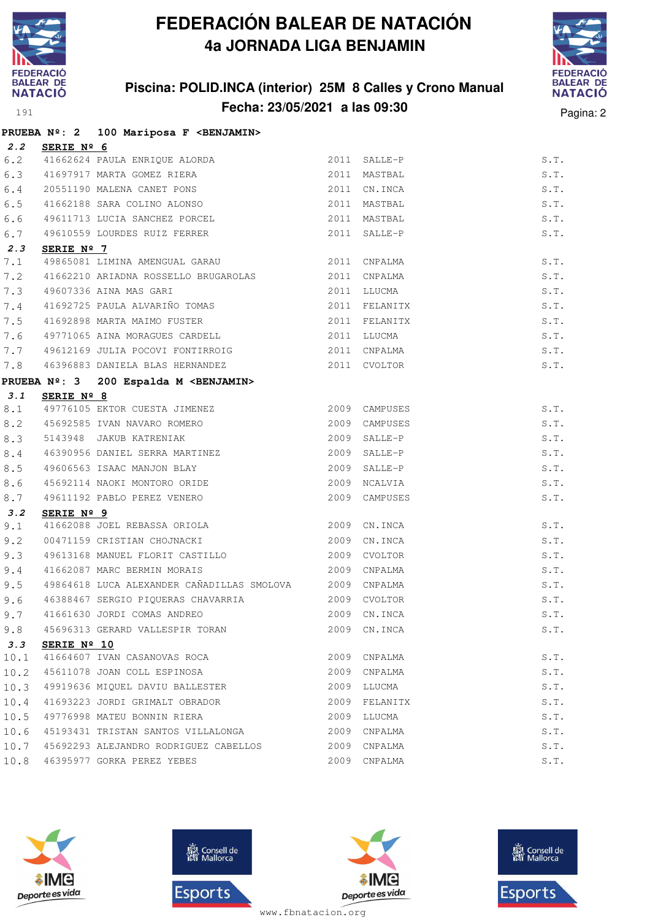

### **Piscina: POLID.INCA (interior) 25M 8 Calles y Crono Manual Fecha: 23/05/2021 a las 09:30** Pagina: 2



|      |                | PRUEBA Nº: 2 100 Mariposa F <benjamin></benjamin>         |      |               |      |
|------|----------------|-----------------------------------------------------------|------|---------------|------|
|      | 2.2 SERIE Nº 6 |                                                           |      |               |      |
| 6.2  |                | 41662624 PAULA ENRIQUE ALORDA                             |      | 2011 SALLE-P  | S.T. |
| 6.3  |                | 41697917 MARTA GOMEZ RIERA                                |      | 2011 MASTBAL  | S.T. |
| 6.4  |                | 20551190 MALENA CANET PONS                                |      | 2011 CN.INCA  | S.T. |
| 6.5  |                | 41662188 SARA COLINO ALONSO                               |      | 2011 MASTBAL  | S.T. |
| 6.6  |                | 49611713 LUCIA SANCHEZ PORCEL                             |      | 2011 MASTBAL  | S.T. |
| 6.7  |                | 49610559 LOURDES RUIZ FERRER                              |      | 2011 SALLE-P  | S.T. |
| 2.3  | SERIE Nº 7     |                                                           |      |               |      |
| 7.1  |                | 49865081 LIMINA AMENGUAL GARAU 62011 CNPALMA              |      |               | S.T. |
| 7.2  |                | 41662210 ARIADNA ROSSELLO BRUGAROLAS                      |      | 2011 CNPALMA  | S.T. |
| 7.3  |                | 49607336 AINA MAS GARI                                    |      | 2011 LLUCMA   | S.T. |
| 7.4  |                | 41692725 PAULA ALVARIÑO TOMAS                             |      | 2011 FELANITX | S.T. |
| 7.5  |                | 41692898 MARTA MAIMO FUSTER                               |      | 2011 FELANITX | S.T. |
| 7.6  |                | 49771065 AINA MORAGUES CARDELL                            |      | 2011 LLUCMA   | S.T. |
| 7.7  |                | 49612169 JULIA POCOVI FONTIRROIG 2011 CNPALMA             |      |               | S.T. |
| 7.8  |                | 46396883 DANIELA BLAS HERNANDEZ 2011 CVOLTOR              |      |               | S.T. |
|      |                | PRUEBA Nº: 3 200 Espalda M <benjamin></benjamin>          |      |               |      |
| 3.1  | SERIE Nº 8     |                                                           |      |               |      |
| 8.1  |                | 49776105 EKTOR CUESTA JIMENEZ                             |      | 2009 CAMPUSES | S.T. |
| 8.2  |                | 45692585 IVAN NAVARO ROMERO                               |      | 2009 CAMPUSES | S.T. |
| 8.3  |                |                                                           | 2009 | SALLE-P       | S.T. |
| 8.4  |                | 5143948 JAKUB KATRENIAK<br>46390956 DANIEL SERRA MARTINEZ |      | 2009 SALLE-P  | S.T. |
| 8.5  |                | 49606563 ISAAC MANJON BLAY                                |      | 2009 SALLE-P  | S.T. |
| 8.6  |                | 45692114 NAOKI MONTORO ORIDE                              | 2009 | NCALVIA       | S.T. |
| 8.7  |                | 49611192 PABLO PEREZ VENERO                               |      | 2009 CAMPUSES | S.T. |
| 3.2  | SERIE Nº 9     |                                                           |      |               |      |
| 9.1  |                | 41662088 JOEL REBASSA ORIOLA                              |      | 2009 CN.INCA  | S.T. |
| 9.2  |                | 00471159 CRISTIAN CHOJNACKI                               | 2009 | CN.INCA       | S.T. |
| 9.3  |                | 49613168 MANUEL FLORIT CASTILLO 2009                      |      | CVOLTOR       | S.T. |
| 9.4  |                | 41662087 MARC BERMIN MORAIS                               |      | 2009 CNPALMA  | S.T. |
| 9.5  |                | 49864618 LUCA ALEXANDER CAÑADILLAS SMOLOVA 2009 CNPALMA   |      |               | S.T. |
| 9.6  |                | 46388467 SERGIO PIQUERAS CHAVARRIA 2009 CVOLTOR           |      |               | S.T. |
|      |                | 9.7 41661630 JORDI COMAS ANDREO 2009 CN.INCA              |      |               | S.T. |
| 9.8  |                | 45696313 GERARD VALLESPIR TORAN                           |      | 2009 CN. INCA | S.T. |
| 3.3  | SERIE Nº 10    |                                                           |      |               |      |
| 10.1 |                | 41664607 IVAN CASANOVAS ROCA                              |      | 2009 CNPALMA  | S.T. |
| 10.2 |                | 45611078 JOAN COLL ESPINOSA                               |      | 2009 CNPALMA  | S.T. |
| 10.3 |                | 49919636 MIQUEL DAVIU BALLESTER                           | 2009 | LLUCMA        | S.T. |
| 10.4 |                | 41693223 JORDI GRIMALT OBRADOR                            |      | 2009 FELANITX | S.T. |
| 10.5 |                | 49776998 MATEU BONNIN RIERA                               | 2009 | LLUCMA        | S.T. |
| 10.6 |                | 45193431 TRISTAN SANTOS VILLALONGA                        | 2009 | CNPALMA       | S.T. |
| 10.7 |                | 45692293 ALEJANDRO RODRIGUEZ CABELLOS                     |      | 2009 CNPALMA  | S.T. |
|      |                | 10.8 46395977 GORKA PEREZ YEBES                           |      | 2009 CNPALMA  | S.T. |







**感** Consell de Esports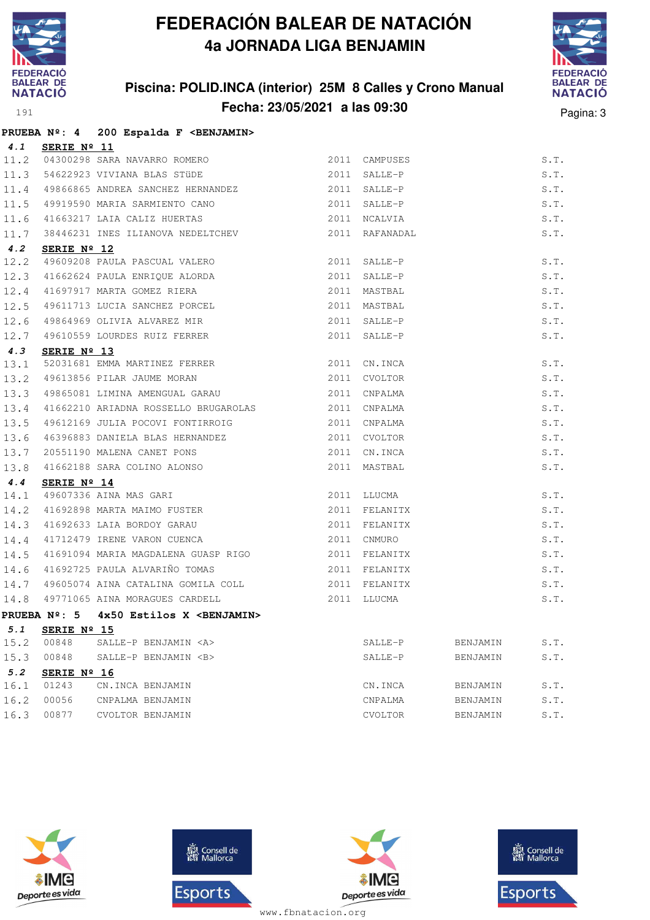

### **Piscina: POLID.INCA (interior) 25M 8 Calles y Crono Manual Fecha: 23/05/2021 a las 09:30** Pagina: 3



|      |                      | PRUEBA Nº: 4 200 Espalda F <benjamin></benjamin>                                                                                                                                     |                |          |      |
|------|----------------------|--------------------------------------------------------------------------------------------------------------------------------------------------------------------------------------|----------------|----------|------|
|      | 4.1 SERIE Nº 11      |                                                                                                                                                                                      |                |          |      |
|      |                      | 11.2 04300298 SARA NAVARRO ROMERO<br>11.3 54622923 VIVIANA BLAS STÜDE                                                                                                                | 2011 CAMPUSES  |          | S.T. |
|      |                      |                                                                                                                                                                                      | 2011 SALLE-P   |          | S.T. |
|      |                      | 11.4 49866865 ANDREA SANCHEZ HERNANDEZ 2011 SALLE-P                                                                                                                                  |                |          | S.T. |
|      |                      | 11.5 49919590 MARIA SARMIENTO CANO                                                                                                                                                   | 2011 SALLE-P   |          | S.T. |
|      |                      | 11.6 41663217 LAIA CALIZ HUERTAS                                                                                                                                                     | 2011 NCALVIA   |          | S.T. |
|      |                      | 11.7 38446231 INES ILIANOVA NEDELTCHEV                                                                                                                                               | 2011 RAFANADAL |          | S.T. |
| 4.2  | SERIE Nº 12          |                                                                                                                                                                                      |                |          |      |
|      |                      | 12.2 49609208 PAULA PASCUAL VALERO                                                                                                                                                   | 2011 SALLE-P   |          | S.T. |
|      |                      | 12.3 41662624 PAULA ENRIQUE ALORDA                                                                                                                                                   | 2011 SALLE-P   |          | S.T. |
|      |                      |                                                                                                                                                                                      | 2011 MASTBAL   |          | S.T. |
|      |                      |                                                                                                                                                                                      | 2011 MASTBAL   |          | S.T. |
|      |                      |                                                                                                                                                                                      | 2011 SALLE-P   |          | S.T. |
|      |                      | 12.3 41002024 FAOLA ENNIQUE ALONDA<br>12.4 41697917 MARTA GOMEZ RIERA<br>12.5 49611713 LUCIA SANCHEZ PORCEL<br>12.6 49864969 OLIVIA ALVAREZ MIR<br>12.7 49610559 LOURDES RUIZ FERRER | 2011 SALLE-P   |          | S.T. |
| 4.3  | SERIE $N^{\circ}$ 13 |                                                                                                                                                                                      |                |          |      |
| 13.1 |                      |                                                                                                                                                                                      | 2011 CN.INCA   |          | S.T. |
| 13.2 |                      |                                                                                                                                                                                      | 2011 CVOLTOR   |          | S.T. |
|      |                      | 13.3 49865081 LIMINA AMENGUAL GARAU 2011 CNPALMA                                                                                                                                     |                |          | S.T. |
| 13.4 |                      | 41662210 ARIADNA ROSSELLO BRUGAROLAS 2011 CNPALMA                                                                                                                                    |                |          | S.T. |
| 13.5 |                      | 49612169 JULIA POCOVI FONTIRROIG                                                                                                                                                     | 2011 CNPALMA   |          | S.T. |
|      |                      |                                                                                                                                                                                      | 2011 CVOLTOR   |          | S.T. |
|      |                      | 13.6 46396883 DANIELA BLAS HERNANDEZ<br>13.7 20551190 MALENA CANET PONS<br>13.8 41662188 SARA COLINO ALONSO                                                                          | 2011 CN.INCA   |          | S.T. |
|      |                      |                                                                                                                                                                                      | 2011 MASTBAL   |          | S.T. |
| 4.4  | SERIE Nº 14          |                                                                                                                                                                                      |                |          |      |
|      |                      |                                                                                                                                                                                      | 2011 LLUCMA    |          | S.T. |
|      |                      |                                                                                                                                                                                      | 2011 FELANITX  |          | S.T. |
|      |                      | 14.1 49607336 AINA MAS GARI<br>14.2 41692898 MARTA MAIMO FUSTER<br>14.3 41692633 LAIA BORDOY GARAU<br>14.4 41712479 IRENE VARON CUENCA                                               | 2011 FELANITX  |          | S.T. |
|      |                      |                                                                                                                                                                                      | 2011 CNMURO    |          | S.T. |
|      |                      | 14.5 41691094 MARIA MAGDALENA GUASP RIGO                                                                                                                                             | 2011 FELANITX  |          | S.T. |
|      |                      | 14.6 41692725 PAULA ALVARIÑO TOMAS 2011 FELANITX                                                                                                                                     |                |          | S.T. |
|      |                      | 14.7 49605074 AINA CATALINA GOMILA COLL 2011 FELANITX                                                                                                                                |                |          | S.T. |
|      |                      | 14.8 49771065 AINA MORAGUES CARDELL                                                                                                                                                  | 2011 LLUCMA    |          | S.T. |
|      |                      | PRUEBA $N^{\circ}$ : 5 4x50 Estilos X <benjamin></benjamin>                                                                                                                          |                |          |      |
| 5.1  | SERIE Nº 15          |                                                                                                                                                                                      |                |          |      |
| 15.2 | 00848                | SALLE-P BENJAMIN <a></a>                                                                                                                                                             | SALLE-P        | BENJAMIN | S.T. |
| 15.3 | 00848                | SALLE-P BENJAMIN <b></b>                                                                                                                                                             | SALLE-P        | BENJAMIN | S.T. |
| 5.2  | SERIE $N^{\circ}$ 16 |                                                                                                                                                                                      |                |          |      |
| 16.1 | 01243                | CN.INCA BENJAMIN                                                                                                                                                                     | CN.INCA        | BENJAMIN | S.T. |
| 16.2 | 00056                | CNPALMA BENJAMIN                                                                                                                                                                     | CNPALMA        | BENJAMIN | S.T. |

16.3 00877 CVOLTOR BENJAMIN CVOLTOR BENJAMIN S.T.







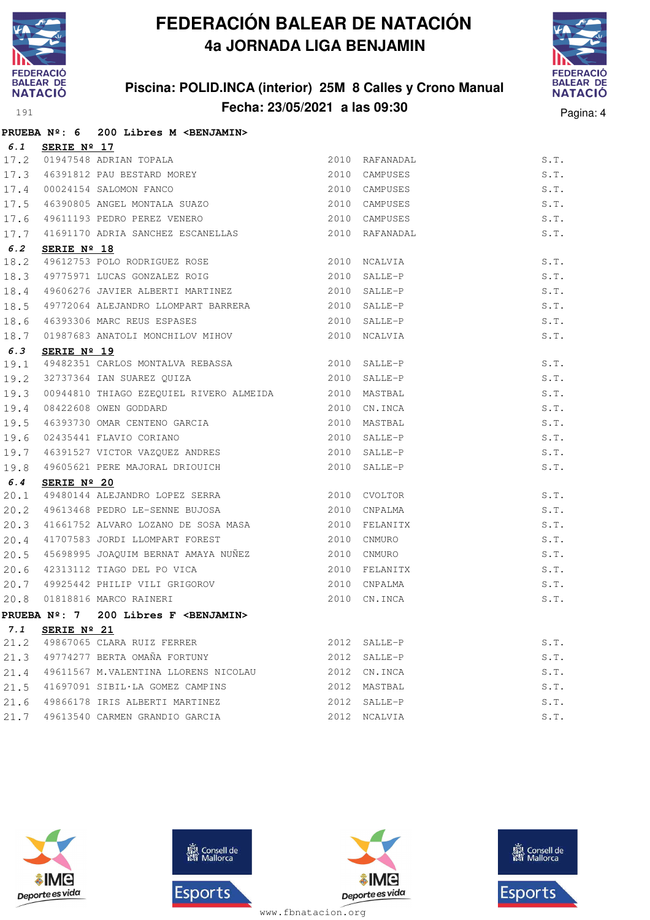

### **Piscina: POLID.INCA (interior) 25M 8 Calles y Crono Manual Fecha: 23/05/2021 a las 09:30** Pagina: 4



|      |                      | PRUEBA Nº: 6 200 Libres M <benjamin></benjamin>                                                                                                              |      |                |      |
|------|----------------------|--------------------------------------------------------------------------------------------------------------------------------------------------------------|------|----------------|------|
| 6.1  | SERIE Nº 17          |                                                                                                                                                              |      |                |      |
| 17.2 |                      |                                                                                                                                                              |      | 2010 RAFANADAL | S.T. |
| 17.3 |                      |                                                                                                                                                              |      | 2010 CAMPUSES  | S.T. |
|      |                      | 17.4 00024154 SALOMON FANCO                                                                                                                                  |      | 2010 CAMPUSES  | S.T. |
| 17.5 |                      |                                                                                                                                                              |      | 2010 CAMPUSES  | S.T. |
| 17.6 |                      | SERIE Nº 17<br>01947548 ADRIAN TOPALA<br>46391812 PAU BESTARD MOREY<br>00024154 SALOMON FANCO<br>46390805 ANGEL MONTALA SUAZO<br>49611193 PEDRO PEREZ VENERO |      | 2010 CAMPUSES  | S.T. |
| 17.7 |                      | 41691170 ADRIA SANCHEZ ESCANELLAS                                                                                                                            | 2010 | RAFANADAL      | S.T. |
| 6.2  | SERIE Nº 18          |                                                                                                                                                              |      |                |      |
| 18.2 |                      | 49612753 POLO RODRIGUEZ ROSE<br>49775971 LUCAS GONZALEZ ROIG                                                                                                 | 2010 | NCALVIA        | S.T. |
| 18.3 |                      |                                                                                                                                                              | 2010 | SALLE-P        | S.T. |
| 18.4 |                      | 49606276 JAVIER ALBERTI MARTINEZ                                                                                                                             | 2010 | SALLE-P        | S.T. |
| 18.5 |                      | 49772064 ALEJANDRO LLOMPART BARRERA                                                                                                                          | 2010 | SALLE-P        | S.T. |
| 18.6 |                      | 46393306 MARC REUS ESPASES                                                                                                                                   | 2010 | SALLE-P        | S.T. |
| 18.7 |                      | $01987683$ ANATOLI MONCHILOV MIHOV                                                                                                                           |      | 2010 NCALVIA   | S.T. |
| 6.3  | SERIE $N^{\circ}$ 19 |                                                                                                                                                              |      |                |      |
| 19.1 |                      | 49482351 CARLOS MONTALVA REBASSA 2010 SALLE-P                                                                                                                |      |                | S.T. |
| 19.2 |                      | 32737364 IAN SUAREZ QUIZA 2010                                                                                                                               |      | SALLE-P        | S.T. |
| 19.3 |                      | 00944810 THIAGO EZEQUIEL RIVERO ALMEIDA 2010                                                                                                                 |      | MASTBAL        | S.T. |
| 19.4 |                      | 08422608 OWEN GODDARD                                                                                                                                        |      | 2010 CN.INCA   | S.T. |
| 19.5 |                      |                                                                                                                                                              | 2010 | MASTBAL        | S.T. |
| 19.6 |                      |                                                                                                                                                              | 2010 | SALLE-P        | S.T. |
| 19.7 |                      | 46393730 OMAR CENTENO GARCIA<br>02435441 FLAVIO CORIANO<br>46391527 VICTOR VAZQUEZ ANDRES                                                                    |      | 2010 SALLE-P   | S.T. |
| 19.8 |                      | 49605621 PERE MAJORAL DRIOUICH                                                                                                                               |      | 2010 SALLE-P   | S.T. |
| 6.4  | SERIE $N^{\circ}$ 20 |                                                                                                                                                              |      |                |      |
| 20.1 |                      | 49480144 ALEJANDRO LOPEZ SERRA 2010 CVOLTOR                                                                                                                  |      |                | S.T. |
| 20.2 |                      | 49613468 PEDRO LE-SENNE BUJOSA 2010                                                                                                                          |      | CNPALMA        | S.T. |
| 20.3 |                      | 41661752 ALVARO LOZANO DE SOSA MASA                                                                                                                          |      | 2010 FELANITX  | S.T. |
| 20.4 |                      | 41707583 JORDI LLOMPART FOREST                                                                                                                               | 2010 | CNMURO         | S.T. |
| 20.5 |                      | 45698995 JOAQUIM BERNAT AMAYA NUÑEZ 2010                                                                                                                     |      | CNMURO         | S.T. |
|      |                      |                                                                                                                                                              |      | 2010 FELANITX  | S.T. |
|      |                      |                                                                                                                                                              |      | 2010 CNPALMA   | S.T. |
|      |                      | 20.6 42313112 TIAGO DEL PO VICA<br>20.7 49925442 PHILIP VILI GRIGOROV<br>20.8 01818816 MARCO RAINERI                                                         | 2010 | CN.INCA        | S.T. |
|      |                      | PRUEBA Nº: 7 200 Libres F <benjamin></benjamin>                                                                                                              |      |                |      |
| 7.1  | SERIE Nº 21          |                                                                                                                                                              |      |                |      |
| 21.2 |                      | 49867065 CLARA RUIZ FERRER                                                                                                                                   |      | 2012 SALLE-P   | S.T. |
| 21.3 |                      | 49774277 BERTA OMAÑA FORTUNY                                                                                                                                 |      | 2012 SALLE-P   | S.T. |
| 21.4 |                      | 49611567 M.VALENTINA LLORENS NICOLAU                                                                                                                         |      | 2012 CN. INCA  | S.T. |
| 21.5 |                      | 41697091 SIBIL·LA GOMEZ CAMPINS                                                                                                                              | 2012 | MASTBAL        | S.T. |
| 21.6 |                      | 49866178 IRIS ALBERTI MARTINEZ                                                                                                                               | 2012 | SALLE-P        | S.T. |
| 21.7 |                      | 49613540 CARMEN GRANDIO GARCIA                                                                                                                               |      | 2012 NCALVIA   | S.T. |







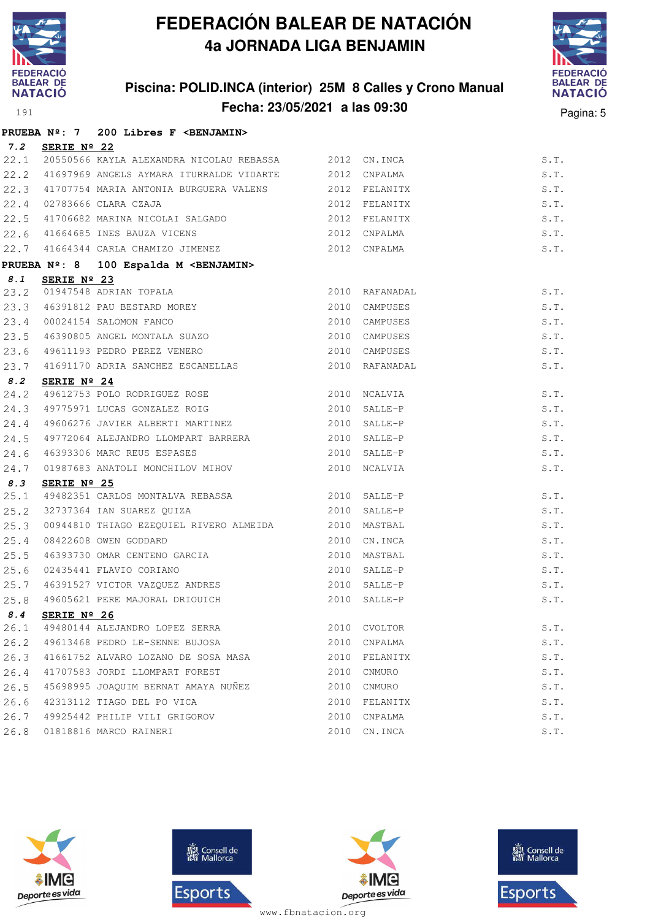

### **Piscina: POLID.INCA (interior) 25M 8 Calles y Crono Manual Fecha: 23/05/2021 a las 09:30** Pagina: 5



|      |                 | PRUEBA Nº: 7 200 Libres F <benjamin></benjamin>                                                                                                                                                               |               |                |      |
|------|-----------------|---------------------------------------------------------------------------------------------------------------------------------------------------------------------------------------------------------------|---------------|----------------|------|
|      | 7.2 SERIE Nº 22 |                                                                                                                                                                                                               |               |                |      |
|      |                 | 22.1 20550566 KAYLA ALEXANDRA NICOLAU REBASSA 2012 CN.INCA                                                                                                                                                    |               |                | S.T. |
|      |                 | 22.2 41697969 ANGELS AYMARA ITURRALDE VIDARTE 2012 CNPALMA                                                                                                                                                    |               |                | S.T. |
|      |                 | 22.3 41707754 MARIA ANTONIA BURGUERA VALENS 2012 FELANITX                                                                                                                                                     |               |                | S.T. |
| 22.4 |                 | 02783666 CLARA CZAJA                                                                                                                                                                                          | 2012 FELANITX |                | S.T. |
|      |                 | 22.5 41706682 MARINA NICOLAI SALGADO                                                                                                                                                                          |               | 2012 FELANITX  | S.T. |
|      |                 | $\begin{tabular}{lllllllllllll} 22.6 & 41664685 & \text{INES BAUZA VICENS & & & & & & & 2012 & \text{CNPALMA} \\ 22.7 & 41664344 & \text{CARLA CHAMIZO JIMENEZ & & & & & 2012 & \text{CNPALMA} \end{tabular}$ |               |                | S.T. |
|      |                 |                                                                                                                                                                                                               |               |                | S.T. |
|      |                 | PRUEBA Nº: 8 100 Espalda M <benjamin></benjamin>                                                                                                                                                              |               |                |      |
| 8.1  | SERIE Nº 23     |                                                                                                                                                                                                               |               |                |      |
|      |                 | 23.2 01947548 ADRIAN TOPALA                                                                                                                                                                                   |               | 2010 RAFANADAL | S.T. |
| 23.3 |                 |                                                                                                                                                                                                               |               | 2010 CAMPUSES  | S.T. |
|      |                 | 23.4 00024154 SALOMON FANCO                                                                                                                                                                                   |               | 2010 CAMPUSES  | S.T. |
| 23.5 |                 | SERIE Nº 23<br>01947548 ADRIAN TOPALA<br>46391812 PAU BESTARD MOREY<br>00024154 SALOMON FANCO<br>46390805 ANGEL MONTALA SUAZO                                                                                 |               | 2010 CAMPUSES  | S.T. |
| 23.6 |                 | 49611193 PEDRO PEREZ VENERO                                                                                                                                                                                   |               | 2010 CAMPUSES  | S.T. |
| 23.7 |                 | 41691170 ADRIA SANCHEZ ESCANELLAS                                                                                                                                                                             |               | 2010 RAFANADAL | S.T. |
| 8.2  | SERIE Nº 24     |                                                                                                                                                                                                               |               |                |      |
| 24.2 |                 | 49612753 POLO RODRIGUEZ ROSE 2010 NCALVIA                                                                                                                                                                     |               |                | S.T. |
| 24.3 |                 | 49775971 LUCAS GONZALEZ ROIG                                                                                                                                                                                  |               | 2010 SALLE-P   | S.T. |
| 24.4 |                 | 49606276 JAVIER ALBERTI MARTINEZ 2010 SALLE-P                                                                                                                                                                 |               |                | S.T. |
| 24.5 |                 | 49772064 ALEJANDRO LLOMPART BARRERA 2010 SALLE-P                                                                                                                                                              |               |                | S.T. |
| 24.6 |                 | 46393306 MARC REUS ESPASES                                                                                                                                                                                    | 2010 SALLE-P  |                | S.T. |
| 24.7 |                 | 01987683 ANATOLI MONCHILOV MIHOV                                                                                                                                                                              |               | 2010 NCALVIA   | S.T. |
| 8.3  | SERIE Nº 25     |                                                                                                                                                                                                               |               |                |      |
| 25.1 |                 | 49482351 CARLOS MONTALVA REBASSA<br>$\,$ 2010 SALLE-P $\,$                                                                                                                                                    |               |                | S.T. |
| 25.2 |                 | 32737364 IAN SUAREZ QUIZA 2010                                                                                                                                                                                |               | SALLE-P        | S.T. |
| 25.3 |                 | 00944810 THIAGO EZEQUIEL RIVERO ALMEIDA 2010                                                                                                                                                                  |               | MASTBAL        | S.T. |
| 25.4 |                 | 08422608 OWEN GODDARD                                                                                                                                                                                         | 2010          | CN.INCA        | S.T. |
| 25.5 |                 |                                                                                                                                                                                                               | 2010          | MASTBAL        | S.T. |
| 25.6 |                 | 46393730 OMAR CENTENO GARCIA<br>02435441 FLAVIO CORIANO                                                                                                                                                       | 2010          | SALLE-P        | S.T. |
| 25.7 |                 | 46391527 VICTOR VAZQUEZ ANDRES 2010 SALLE-P                                                                                                                                                                   |               |                | S.T. |
| 25.8 |                 | 49605621 PERE MAJORAL DRIOUICH                                                                                                                                                                                |               | 2010 SALLE-P   | S.T. |
| 8.4  | SERIE Nº 26     |                                                                                                                                                                                                               |               |                |      |
| 26.1 |                 | 49480144 ALEJANDRO LOPEZ SERRA                                                                                                                                                                                | 2010          | CVOLTOR        | S.T. |
| 26.2 |                 | 49613468 PEDRO LE-SENNE BUJOSA                                                                                                                                                                                | 2010          | CNPALMA        | S.T. |
| 26.3 |                 | 41661752 ALVARO LOZANO DE SOSA MASA                                                                                                                                                                           | 2010          | FELANITX       | S.T. |
| 26.4 |                 | 41707583 JORDI LLOMPART FOREST                                                                                                                                                                                | 2010          | CNMURO         | S.T. |
| 26.5 |                 | 45698995 JOAQUIM BERNAT AMAYA NUÑEZ                                                                                                                                                                           | 2010          | CNMURO         | S.T. |
| 26.6 |                 | 42313112 TIAGO DEL PO VICA                                                                                                                                                                                    | 2010          | FELANITX       | S.T. |
| 26.7 |                 | 49925442 PHILIP VILI GRIGOROV                                                                                                                                                                                 | 2010          | CNPALMA        | S.T. |
| 26.8 |                 | 01818816 MARCO RAINERI                                                                                                                                                                                        |               | 2010 CN.INCA   | S.T. |